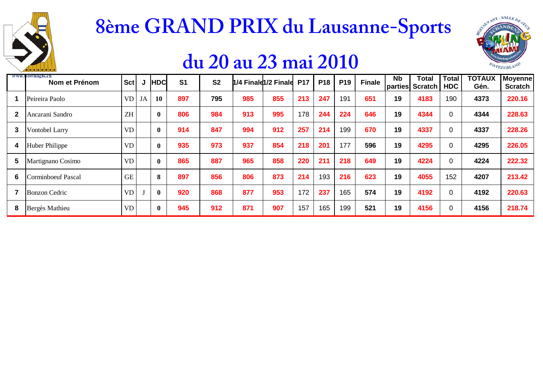



|              | www.bowlingis.ch<br>Nom et Prénom | <b>Sct</b> | J  | <b>HDC</b>   | S <sub>1</sub> | S <sub>2</sub> |     | 1/4 Finald1/2 Finald P17 |     | <b>P18</b> | P <sub>19</sub> | <b>Finale</b> | <b>Nb</b> | Total<br>parties Scratch | <b>Total</b><br><b>HDC</b> | <b>TOTAUX</b><br>Gén. | <b>Moyenne</b><br><b>Scratch</b> |
|--------------|-----------------------------------|------------|----|--------------|----------------|----------------|-----|--------------------------|-----|------------|-----------------|---------------|-----------|--------------------------|----------------------------|-----------------------|----------------------------------|
|              | Peireira Paolo                    | <b>VD</b>  | JA | 10           | 897            | 795            | 985 | 855                      | 213 | 247        | 191             | 651           | 19        | 4183                     | 190                        | 4373                  | 220.16                           |
| $\mathbf{2}$ | Ancarani Sandro                   | <b>ZH</b>  |    | $\mathbf{0}$ | 806            | 984            | 913 | 995                      | 178 | 244        | 224             | 646           | 19        | 4344                     | 0                          | 4344                  | 228.63                           |
| 3            | <b>Vontobel Larry</b>             | <b>VD</b>  |    | $\mathbf{0}$ | 914            | 847            | 994 | 912                      | 257 | 214        | 199             | 670           | 19        | 4337                     | 0                          | 4337                  | 228.26                           |
| 4            | <b>Huber Philippe</b>             | <b>VD</b>  |    | $\mathbf{0}$ | 935            | 973            | 937 | 854                      | 218 | 201        | 177             | 596           | 19        | 4295                     | 0                          | 4295                  | 226.05                           |
| 5            | Martignano Cosimo                 | <b>VD</b>  |    | $\mathbf{0}$ | 865            | 887            | 965 | 858                      | 220 | 211        | 218             | 649           | 19        | 4224                     | 0                          | 4224                  | 222.32                           |
| 6            | <b>Corminboeuf Pascal</b>         | <b>GE</b>  |    | 8            | 897            | 856            | 806 | 873                      | 214 | 193        | 216             | 623           | 19        | 4055                     | 152                        | 4207                  | 213.42                           |
|              | <b>Bonzon Cedric</b>              | <b>VD</b>  |    | $\mathbf{0}$ | 920            | 868            | 877 | 953                      | 172 | 237        | 165             | 574           | 19        | 4192                     | 0                          | 4192                  | 220.63                           |
| 8            | Bergès Mathieu                    | <b>VD</b>  |    | $\mathbf{0}$ | 945            | 912            | 871 | 907                      | 157 | 165        | 199             | 521           | 19        | 4156                     | 0                          | 4156                  | 218.74                           |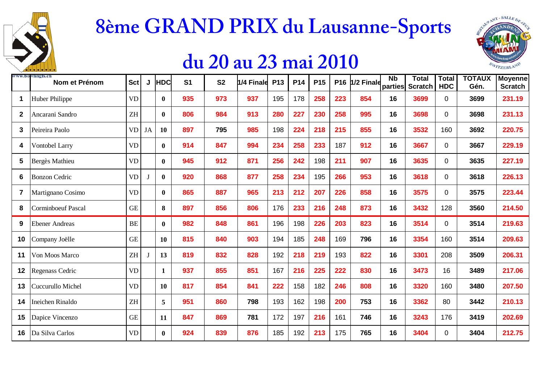



|              | ww.oowinigis.cn<br>Nom et Prénom | Sct                        |    | <b>HDC</b>   | S <sub>1</sub> | <b>S2</b> | 1/4 Finale P13 |     | <b>P14</b> | <b>P15</b> |     | P16 1/2 Finale | <b>Nb</b><br>parties | Total<br><b>Scratch</b> | Total<br><b>HDC</b> | TOTAUX<br>Gén. | <b>Moyenne</b><br><b>Scratch</b> |
|--------------|----------------------------------|----------------------------|----|--------------|----------------|-----------|----------------|-----|------------|------------|-----|----------------|----------------------|-------------------------|---------------------|----------------|----------------------------------|
| 1            | Huber Philippe                   | <b>VD</b>                  |    | $\mathbf{0}$ | 935            | 973       | 937            | 195 | 178        | 258        | 223 | 854            | 16                   | 3699                    | $\Omega$            | 3699           | 231.19                           |
| $\mathbf{2}$ | Ancarani Sandro                  | <b>ZH</b>                  |    | $\mathbf{0}$ | 806            | 984       | 913            | 280 | 227        | 230        | 258 | 995            | 16                   | 3698                    | $\Omega$            | 3698           | 231.13                           |
| 3            | Peireira Paolo                   | <b>VD</b>                  | JA | 10           | 897            | 795       | 985            | 198 | 224        | 218        | 215 | 855            | 16                   | 3532                    | 160                 | 3692           | 220.75                           |
| 4            | <b>Vontobel Larry</b>            | <b>VD</b>                  |    | $\mathbf{0}$ | 914            | 847       | 994            | 234 | 258        | 233        | 187 | 912            | 16                   | 3667                    | 0                   | 3667           | 229.19                           |
| 5            | Bergès Mathieu                   | <b>VD</b>                  |    | $\mathbf{0}$ | 945            | 912       | 871            | 256 | 242        | 198        | 211 | 907            | 16                   | 3635                    | 0                   | 3635           | 227.19                           |
| 6            | <b>Bonzon Cedric</b>             | <b>VD</b>                  |    | $\mathbf{0}$ | 920            | 868       | 877            | 258 | 234        | 195        | 266 | 953            | 16                   | 3618                    | 0                   | 3618           | 226.13                           |
| 7            | Martignano Cosimo                | <b>VD</b>                  |    | $\mathbf{0}$ | 865            | 887       | 965            | 213 | 212        | 207        | 226 | 858            | 16                   | 3575                    | $\Omega$            | 3575           | 223.44                           |
| 8            | <b>Corminboeuf Pascal</b>        | <b>GE</b>                  |    | 8            | 897            | 856       | 806            | 176 | 233        | 216        | 248 | 873            | 16                   | 3432                    | 128                 | 3560           | 214.50                           |
| 9            | <b>Ebener Andreas</b>            | <b>BE</b>                  |    | $\mathbf{0}$ | 982            | 848       | 861            | 196 | 198        | 226        | 203 | 823            | 16                   | 3514                    | 0                   | 3514           | 219.63                           |
| 10           | Company Joëlle                   | <b>GE</b>                  |    | 10           | 815            | 840       | 903            | 194 | 185        | 248        | 169 | 796            | 16                   | 3354                    | 160                 | 3514           | 209.63                           |
| 11           | Von Moos Marco                   | <b>ZH</b>                  |    | 13           | 819            | 832       | 828            | 192 | 218        | 219        | 193 | 822            | 16                   | 3301                    | 208                 | 3509           | 206.31                           |
| 12           | Regenass Cedric                  | <b>VD</b>                  |    | $\mathbf{1}$ | 937            | 855       | 851            | 167 | 216        | 225        | 222 | 830            | 16                   | 3473                    | 16                  | 3489           | 217.06                           |
| 13           | Cuccurullo Michel                | <b>VD</b>                  |    | 10           | 817            | 854       | 841            | 222 | 158        | 182        | 246 | 808            | 16                   | 3320                    | 160                 | 3480           | 207.50                           |
| 14           | Ineichen Rinaldo                 | $\ensuremath{\mathsf{ZH}}$ |    | 5            | 951            | 860       | 798            | 193 | 162        | 198        | 200 | 753            | 16                   | 3362                    | 80                  | 3442           | 210.13                           |
| 15           | Dapice Vincenzo                  | <b>GE</b>                  |    | 11           | 847            | 869       | 781            | 172 | 197        | 216        | 161 | 746            | 16                   | 3243                    | 176                 | 3419           | 202.69                           |
| 16           | Da Silva Carlos                  | <b>VD</b>                  |    | $\mathbf{0}$ | 924            | 839       | 876            | 185 | 192        | 213        | 175 | 765            | 16                   | 3404                    | $\Omega$            | 3404           | 212.75                           |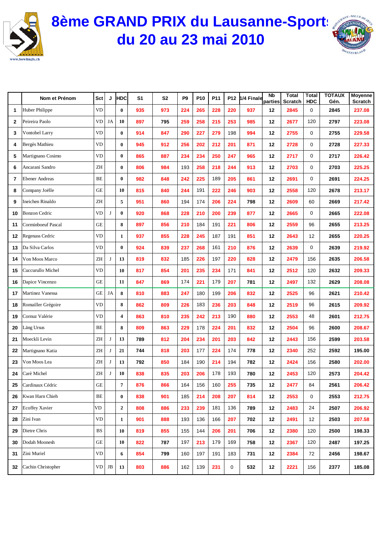

## **8ème GRAND PRIX du Lausanne-Sports du 20 au 23 mai 2010**



|    | Nom et Prénom             | Sct                        | J  | <b>HDC</b>       | S1  | S <sub>2</sub> | P <sub>9</sub> | P10 | P11 | P12 | 1/4 Finale | <b>Nb</b><br>parties | <b>Total</b><br><b>Scratch</b> | <b>Total</b><br><b>HDC</b> | <b>TOTAUX</b><br>Gén. | <b>Moyenne</b><br><b>Scratch</b> |
|----|---------------------------|----------------------------|----|------------------|-----|----------------|----------------|-----|-----|-----|------------|----------------------|--------------------------------|----------------------------|-----------------------|----------------------------------|
| 1  | <b>Huber Philippe</b>     | VD                         |    | $\bf{0}$         | 935 | 973            | 224            | 265 | 228 | 220 | 937        | 12                   | 2845                           | 0                          | 2845                  | 237.08                           |
| 2  | Peireira Paolo            | VD                         | JA | 10               | 897 | 795            | 259            | 258 | 215 | 253 | 985        | 12                   | 2677                           | 120                        | 2797                  | 223.08                           |
| 3  | Vontobel Larry            | <b>VD</b>                  |    | $\bf{0}$         | 914 | 847            | 290            | 227 | 279 | 198 | 994        | 12                   | 2755                           | 0                          | 2755                  | 229.58                           |
| 4  | Bergès Mathieu            | VD                         |    | $\bf{0}$         | 945 | 912            | 256            | 202 | 212 | 201 | 871        | 12                   | 2728                           | 0                          | 2728                  | 227.33                           |
| 5  | Martignano Cosimo         | <b>VD</b>                  |    | $\bf{0}$         | 865 | 887            | 234            | 234 | 250 | 247 | 965        | 12                   | 2717                           | 0                          | 2717                  | 226.42                           |
| 6  | Ancarani Sandro           | ZH                         |    | $\bf{0}$         | 806 | 984            | 193            | 258 | 218 | 244 | 913        | 12                   | 2703                           | 0                          | 2703                  | 225.25                           |
| 7  | <b>Ebener Andreas</b>     | BE                         |    | $\bf{0}$         | 982 | 848            | 242            | 225 | 189 | 205 | 861        | 12                   | 2691                           | 0                          | 2691                  | 224.25                           |
| 8  | Company Joëlle            | GE                         |    | 10               | 815 | 840            | 244            | 191 | 222 | 246 | 903        | 12                   | 2558                           | 120                        | 2678                  | 213.17                           |
| 9  | Ineichen Rinaldo          | ZH                         |    | 5                | 951 | 860            | 194            | 174 | 206 | 224 | 798        | 12                   | 2609                           | 60                         | 2669                  | 217.42                           |
| 10 | <b>Bonzon Cedric</b>      | VD                         | J  | $\bf{0}$         | 920 | 868            | 228            | 210 | 200 | 239 | 877        | 12                   | 2665                           | 0                          | 2665                  | 222.08                           |
| 11 | <b>Corminboeuf Pascal</b> | GE                         |    | 8                | 897 | 856            | 210            | 184 | 191 | 221 | 806        | 12                   | 2559                           | 96                         | 2655                  | 213.25                           |
| 12 | Regenass Cedric           | <b>VD</b>                  |    | 1                | 937 | 855            | 228            | 245 | 187 | 191 | 851        | 12                   | 2643                           | 12                         | 2655                  | 220.25                           |
| 13 | Da Silva Carlos           | <b>VD</b>                  |    | $\bf{0}$         | 924 | 839            | 237            | 268 | 161 | 210 | 876        | 12                   | 2639                           | 0                          | 2639                  | 219.92                           |
| 14 | Von Moos Marco            | ZH                         | J  | 13               | 819 | 832            | 185            | 226 | 197 | 220 | 828        | 12                   | 2479                           | 156                        | 2635                  | 206.58                           |
| 15 | Cuccurullo Michel         | <b>VD</b>                  |    | 10               | 817 | 854            | 201            | 235 | 234 | 171 | 841        | 12                   | 2512                           | 120                        | 2632                  | 209.33                           |
| 16 | Dapice Vincenzo           | $\operatorname{GE}$        |    | 11               | 847 | 869            | 174            | 221 | 179 | 207 | 781        | 12                   | 2497                           | 132                        | 2629                  | 208.08                           |
| 17 | Martinez Vanessa          | GE                         | JA | 8                | 810 | 883            | 247            | 180 | 199 | 206 | 832        | 12                   | 2525                           | 96                         | 2621                  | 210.42                           |
| 18 | Romailler Grégoire        | <b>VD</b>                  |    | 8                | 862 | 809            | 226            | 183 | 236 | 203 | 848        | 12                   | 2519                           | 96                         | 2615                  | 209.92                           |
| 19 | Cornuz Valérie            | VD                         |    | 4                | 863 | 810            | 235            | 242 | 213 | 190 | 880        | 12                   | 2553                           | 48                         | 2601                  | 212.75                           |
| 20 | <b>Läng Ursus</b>         | BE                         |    | 8                | 809 | 863            | 229            | 178 | 224 | 201 | 832        | 12                   | 2504                           | 96                         | 2600                  | 208.67                           |
| 21 | Moeckli Levin             | ZH                         | J  | 13               | 789 | 812            | 204            | 234 | 201 | 203 | 842        | 12                   | 2443                           | 156                        | 2599                  | 203.58                           |
| 22 | Martignano Katia          | ZH                         | J  | 21               | 744 | 818            | 203            | 177 | 224 | 174 | 778        | 12                   | 2340                           | 252                        | 2592                  | 195.00                           |
| 23 | Von Moos Lea              | $\ensuremath{\mathsf{ZH}}$ | J  | 13               | 792 | 850            | 184            | 190 | 214 | 194 | 782        | 12                   | 2424                           | 156                        | 2580                  | 202.00                           |
| 24 | Carè Michel               | ZH                         | J  | 10               | 838 | 835            | 203            | 206 | 178 | 193 | 780        | 12                   | 2453                           | 120                        | 2573                  | 204.42                           |
| 25 | Cardinaux Cédric          | GE                         |    | 7                | 876 | 866            | 164            | 156 | 160 | 255 | 735        | 12                   | 2477                           | 84                         | 2561                  | 206.42                           |
| 26 | Kwan Harn Chieh           | BE                         |    | $\bf{0}$         | 838 | 901            | 185            | 214 | 208 | 207 | 814        | 12                   | 2553                           | 0                          | 2553                  | 212.75                           |
| 27 | <b>Ecoffey Xavier</b>     | VD                         |    | $\boldsymbol{2}$ | 808 | 886            | 233            | 239 | 181 | 136 | 789        | 12                   | 2483                           | 24                         | 2507                  | 206.92                           |
| 28 | Zini Ivan                 | $\mathbf{V}\mathbf{D}$     |    | 1                | 901 | 888            | 193            | 136 | 166 | 207 | 702        | 12                   | 2491                           | 12                         | 2503                  | 207.58                           |
| 29 | Dietre Chris              | BS                         |    | 10               | 819 | 855            | 155            | 144 | 206 | 201 | 706        | 12                   | 2380                           | 120                        | 2500                  | 198.33                           |
| 30 | Dodah Moonesh             | $\operatorname{GE}$        |    | 10               | 822 | 787            | 197            | 213 | 179 | 169 | 758        | 12                   | 2367                           | 120                        | 2487                  | 197.25                           |
| 31 | Zini Muriel               | VD                         |    | 6                | 854 | 799            | 160            | 197 | 191 | 183 | 731        | 12                   | 2384                           | 72                         | 2456                  | 198.67                           |
|    | 32 Cachin Christopher     | VD                         | JB | 13               | 803 | 886            | 162            | 139 | 231 | 0   | 532        | 12                   | 2221                           | 156                        | 2377                  | 185.08                           |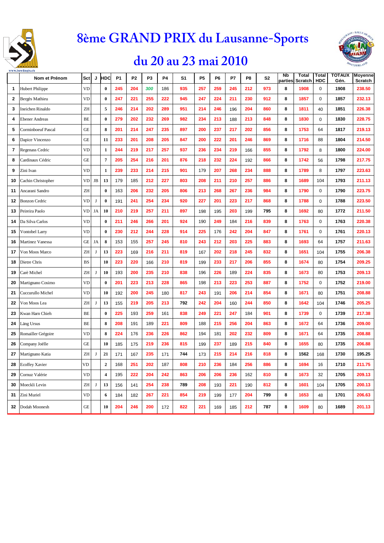



|    | Nom et Prénom             | <b>Sct</b>             | J          | HDC                     | P <sub>1</sub> | P <sub>2</sub> | P <sub>3</sub> | <b>P4</b> | S1  | P <sub>5</sub> | P6  | P7  | P8  | S <sub>2</sub> | Nb<br>parties | <b>Total</b><br>Scratch | <b>Total</b><br><b>HDC</b> | <b>TOTAUX</b><br>Gén. | <b>Moyenne</b><br>Scratch |
|----|---------------------------|------------------------|------------|-------------------------|----------------|----------------|----------------|-----------|-----|----------------|-----|-----|-----|----------------|---------------|-------------------------|----------------------------|-----------------------|---------------------------|
| 1  | <b>Hubert Philippe</b>    | VD                     |            | $\bf{0}$                | 245            | 204            | 300            | 186       | 935 | 257            | 259 | 245 | 212 | 973            | 8             | 1908                    | 0                          | 1908                  | 238.50                    |
| 2  | Bergès Mathieu            | VD                     |            | $\bf{0}$                | 247            | 221            | 255            | 222       | 945 | 247            | 224 | 211 | 230 | 912            | 8             | 1857                    | 0                          | 1857                  | 232.13                    |
| 3  | Ineichen Rinaldo          | ZH                     |            | 5                       | 246            | 214            | 202            | 289       | 951 | 214            | 246 | 196 | 204 | 860            | 8             | 1811                    | 40                         | 1851                  | 226.38                    |
| 4  | <b>Ebener Andreas</b>     | BE                     |            | $\bf{0}$                | 279            | 202            | 232            | 269       | 982 | 234            | 213 | 188 | 213 | 848            | 8             | 1830                    | 0                          | 1830                  | 228.75                    |
| 5  | <b>Corminboeuf Pascal</b> | <b>GE</b>              |            | 8                       | 201            | 214            | 247            | 235       | 897 | 200            | 237 | 217 | 202 | 856            | 8             | 1753                    | 64                         | 1817                  | 219.13                    |
| 6  | Dapice Vincenzo           | <b>GE</b>              |            | 11                      | 233            | 201            | 208            | 205       | 847 | 200            | 222 | 201 | 246 | 869            | 8             | 1716                    | 88                         | 1804                  | 214.50                    |
| 7  | Regenass Cedric           | VD                     |            | $\mathbf{1}$            | 244            | 219            | 217            | 257       | 937 | 236            | 234 | 219 | 166 | 855            | 8             | 1792                    | 8                          | 1800                  | 224.00                    |
| 8  | Cardinaux Cédric          | <b>GE</b>              |            | $\boldsymbol{7}$        | 205            | 254            | 216            | 201       | 876 | 218            | 232 | 224 | 192 | 866            | 8             | 1742                    | 56                         | 1798                  | 217.75                    |
| 9  | Zini Ivan                 | VD                     |            | $\mathbf{1}$            | 239            | 233            | 214            | 215       | 901 | 179            | 207 | 268 | 234 | 888            | 8             | 1789                    | 8                          | 1797                  | 223.63                    |
| 10 | Cachin Christopher        | VD                     | JB         | 13                      | 179            | 185            | 212            | 227       | 803 | 208            | 211 | 210 | 257 | 886            | 8             | 1689                    | 104                        | 1793                  | 211.13                    |
| 11 | Ancarani Sandro           | ZH                     |            | $\bf{0}$                | 163            | 206            | 232            | 205       | 806 | 213            | 268 | 267 | 236 | 984            | 8             | 1790                    | 0                          | 1790                  | 223.75                    |
| 12 | <b>Bonzon Cedric</b>      | VD                     | J          | $\bf{0}$                | 191            | 241            | 254            | 234       | 920 | 227            | 201 | 223 | 217 | 868            | 8             | 1788                    | 0                          | 1788                  | 223.50                    |
| 13 | Peireira Paolo            | <b>VD</b>              | JA         | 10                      | 210            | 219            | 257            | 211       | 897 | 198            | 195 | 203 | 199 | 795            | 8             | 1692                    | 80                         | 1772                  | 211.50                    |
| 14 | Da Silva Carlos           | <b>VD</b>              |            | $\bf{0}$                | 211            | 246            | 266            | 201       | 924 | 190            | 249 | 184 | 216 | 839            | 8             | 1763                    | 0                          | 1763                  | 220.38                    |
| 15 | Vontobel Larry            | <b>VD</b>              |            | $\bf{0}$                | 230            | 212            | 244            | 228       | 914 | 225            | 176 | 242 | 204 | 847            | 8             | 1761                    | 0                          | 1761                  | 220.13                    |
| 16 | Martinez Vanessa          | GE                     | JA         | 8                       | 153            | 155            | 257            | 245       | 810 | 243            | 212 | 203 | 225 | 883            | 8             | 1693                    | 64                         | 1757                  | 211.63                    |
| 17 | Von Moos Marco            | ZH                     | J          | 13                      | 223            | 169            | 216            | 211       | 819 | 167            | 202 | 218 | 245 | 832            | 8             | 1651                    | 104                        | 1755                  | 206.38                    |
| 18 | Dietre Chris              | <b>BS</b>              |            | 10                      | 223            | 220            | 166            | 210       | 819 | 199            | 233 | 217 | 206 | 855            | 8             | 1674                    | 80                         | 1754                  | 209.25                    |
| 19 | Carè Michel               | ZΗ                     | J          | 10                      | 193            | 200            | 235            | 210       | 838 | 196            | 226 | 189 | 224 | 835            | 8             | 1673                    | 80                         | 1753                  | 209.13                    |
| 20 | Martignano Cosimo         | VD                     |            | $\bf{0}$                | 201            | 223            | 213            | 228       | 865 | 198            | 213 | 223 | 253 | 887            | 8             | 1752                    | 0                          | 1752                  | 219.00                    |
| 21 | Cuccurullo Michel         | VD                     |            | 10                      | 192            | 200            | 245            | 180       | 817 | 243            | 191 | 206 | 214 | 854            | 8             | 1671                    | 80                         | 1751                  | 208.88                    |
| 22 | Von Moos Lea              | ZH                     | J          | 13                      | 155            | 219            | 205            | 213       | 792 | 242            | 204 | 160 | 244 | 850            | 8             | 1642                    | 104                        | 1746                  | 205.25                    |
| 23 | Kwan Harn Chieh           | BE                     |            | $\bf{0}$                | 225            | 193            | 259            | 161       | 838 | 249            | 221 | 247 | 184 | 901            | 8             | 1739                    | 0                          | 1739                  | 217.38                    |
| 24 | Läng Ursus                | BE                     |            | 8                       | 208            | 191            | 189            | 221       | 809 | 188            | 215 | 256 | 204 | 863            | 8             | 1672                    | 64                         | 1736                  | 209.00                    |
| 25 | Romailler Grégoire        | <b>VD</b>              |            | 8                       | 224            | 176            | 236            | 226       | 862 | 194            | 181 | 202 | 232 | 809            | 8             | 1671                    | 64                         | 1735                  | 208.88                    |
| 26 | Company Joëlle            | GE                     |            | 10                      | 185            | 175            | 219            | 236       | 815 | 199            | 237 | 189 | 215 | 840            | 8             | 1655                    | 80                         | 1735                  | 206.88                    |
| 27 | Martignano Katia          | ZH                     | J          | 21                      | 171            | 167            | 235            | 171       | 744 | 173            | 215 | 214 | 216 | 818            | 8             | 1562                    | 168                        | 1730                  | 195.25                    |
| 28 | <b>Ecoffey Xavier</b>     | $\mathbf{V}\mathbf{D}$ |            | $\boldsymbol{2}$        | 168            | 251            | 202            | 187       | 808 | 210            | 236 | 184 | 256 | 886            | 8             | 1694                    | 16                         | 1710                  | 211.75                    |
| 29 | Cornuz Valérie            | <b>VD</b>              |            | $\overline{\mathbf{4}}$ | 195            | 222            | 204            | 242       | 863 | 206            | 206 | 236 | 162 | 810            | 8             | 1673                    | 32                         | 1705                  | 209.13                    |
| 30 | Moeckli Levin             | ZH                     | $_{\rm J}$ | 13                      | 156            | 141            | 254            | 238       | 789 | 208            | 193 | 221 | 190 | 812            | 8             | 1601                    | 104                        | 1705                  | 200.13                    |
| 31 | Zini Muriel               | <b>VD</b>              |            | 6                       | 184            | 182            | 267            | 221       | 854 | 219            | 199 | 177 | 204 | 799            | 8             | 1653                    | 48                         | 1701                  | 206.63                    |
| 32 | Dodah Moonesh             | $\operatorname{GE}$    |            | 10                      | 204            | 246            | 200            | 172       | 822 | 221            | 169 | 185 | 212 | 787            | 8             | 1609                    | 80                         | 1689                  | 201.13                    |
|    |                           |                        |            |                         |                |                |                |           |     |                |     |     |     |                |               |                         |                            |                       |                           |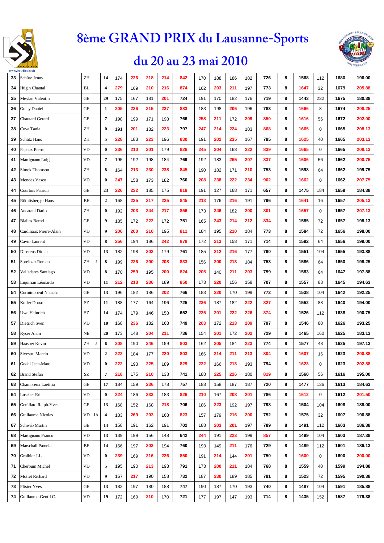



| 33 | Schütz Jenny           | ZΗ                  |    | 14                      | 174 | 236 | 218 | 214 | 842 | 170 | 188 | 186 | 182 | 726 | 8 | 1568 | 112         | 1680 | 196.00 |
|----|------------------------|---------------------|----|-------------------------|-----|-----|-----|-----|-----|-----|-----|-----|-----|-----|---|------|-------------|------|--------|
| 34 | Hügin Chantal          | <b>BL</b>           |    | $\overline{\mathbf{4}}$ | 279 | 169 | 210 | 216 | 874 | 162 | 203 | 211 | 197 | 773 | 8 | 1647 | 32          | 1679 | 205.88 |
| 35 | Meylan Valentin        | GE                  |    | 29                      | 175 | 167 | 181 | 201 | 724 | 191 | 170 | 182 | 176 | 719 | 8 | 1443 | 232         | 1675 | 180.38 |
| 36 | <b>Golay Daniel</b>    | <b>GE</b>           |    | $\mathbf{1}$            | 205 | 226 | 215 | 237 | 883 | 183 | 198 | 206 | 196 | 783 | 8 | 1666 | 8           | 1674 | 208.25 |
| 37 | Chautard Gerard        | GE                  |    | 7                       | 198 | 199 | 171 | 198 | 766 | 258 | 211 | 172 | 209 | 850 | 8 | 1616 | 56          | 1672 | 202.00 |
| 38 | Cuva Tania             | ZH                  |    | $\bf{0}$                | 191 | 201 | 182 | 223 | 797 | 247 | 214 | 224 | 183 | 868 | 8 | 1665 | 0           | 1665 | 208.13 |
| 39 | Schütz Hans            | ZH                  |    | 5                       | 228 | 183 | 223 | 196 | 830 | 191 | 202 | 235 | 167 | 795 | 8 | 1625 | 40          | 1665 | 203.13 |
| 40 | Papaux Pierre          | VD                  |    | $\bf{0}$                | 236 | 210 | 201 | 179 | 826 | 245 | 204 | 168 | 222 | 839 | 8 | 1665 | 0           | 1665 | 208.13 |
| 41 | Martignano Luigi       | VD                  |    | 7                       | 195 | 192 | 198 | 184 | 769 | 192 | 183 | 255 | 207 | 837 | 8 | 1606 | 56          | 1662 | 200.75 |
| 42 | Simek Thomson          | ZH                  |    | 8                       | 164 | 213 | 230 | 238 | 845 | 190 | 182 | 171 | 210 | 753 | 8 | 1598 | 64          | 1662 | 199.75 |
| 43 | <b>Mendes Vasco</b>    | VD                  |    | $\bf{0}$                | 247 | 158 | 173 | 182 | 760 | 208 | 238 | 222 | 234 | 902 | 8 | 1662 | $\mathbf 0$ | 1662 | 207.75 |
| 44 | Courtois Patricia      | GE                  |    | 23                      | 226 | 232 | 185 | 175 | 818 | 191 | 127 | 168 | 171 | 657 | 8 | 1475 | 184         | 1659 | 184.38 |
| 45 | Röthlisberger Hans     | BE                  |    | $\mathbf{2}$            | 168 | 235 | 217 | 225 | 845 | 213 | 176 | 216 | 191 | 796 | 8 | 1641 | 16          | 1657 | 205.13 |
| 46 | Ancarani Dario         | ZH                  |    | $\bf{0}$                | 192 | 203 | 244 | 217 | 856 | 173 | 246 | 182 | 200 | 801 | 8 | 1657 | 0           | 1657 | 207.13 |
| 47 | <b>Biallas Bernd</b>   | GE                  |    | 9                       | 185 | 172 | 222 | 172 | 751 | 165 | 243 | 214 | 212 | 834 | 8 | 1585 | 72          | 1657 | 198.13 |
| 48 | Cardinaux Pierre-Alain | VD                  |    | 9                       | 206 | 200 | 210 | 195 | 811 | 184 | 195 | 210 | 184 | 773 | 8 | 1584 | 72          | 1656 | 198.00 |
| 49 | Cavin Laurent          | VD                  |    | 8                       | 256 | 194 | 186 | 242 | 878 | 172 | 213 | 158 | 171 | 714 | 8 | 1592 | 64          | 1656 | 199.00 |
| 50 | Diserens Didier        | VD                  |    | 13                      | 182 | 198 | 202 | 179 | 761 | 185 | 212 | 216 | 177 | 790 | 8 | 1551 | 104         | 1655 | 193.88 |
| 51 | Spreitzer Roman        | ZH                  | J  | 8                       | 199 | 226 | 200 | 208 | 833 | 156 | 200 | 213 | 184 | 753 | 8 | 1586 | 64          | 1650 | 198.25 |
| 52 | Valladares Santiago    | VD                  |    | 8                       | 170 | 259 | 195 | 200 | 824 | 205 | 140 | 211 | 203 | 759 | 8 | 1583 | 64          | 1647 | 197.88 |
| 53 | Liquirian Léonardo     | VD                  |    | 11                      | 212 | 213 | 236 | 189 | 850 | 173 | 220 | 156 | 158 | 707 | 8 | 1557 | 88          | 1645 | 194.63 |
| 54 | Corminboeuf Natacha    | <b>GE</b>           |    | 13                      | 196 | 182 | 186 | 202 | 766 | 183 | 220 | 170 | 199 | 772 | 8 | 1538 | 104         | 1642 | 192.25 |
| 55 | Koller Donat           | SZ                  |    | 11                      | 188 | 177 | 164 | 196 | 725 | 236 | 187 | 182 | 222 | 827 | 8 | 1552 | 88          | 1640 | 194.00 |
| 56 | Uwe Heinrich           | SZ.                 |    | 14                      | 174 | 179 | 146 | 153 | 652 | 225 | 201 | 222 | 226 | 874 | 8 | 1526 | 112         | 1638 | 190.75 |
| 57 | Dietrich Sven          | VD                  |    | 10                      | 168 | 236 | 182 | 163 | 749 | 203 | 172 | 213 | 209 | 797 | 8 | 1546 | 80          | 1626 | 193.25 |
| 58 | Ryser Alain            | NE                  |    | 20                      | 173 | 148 | 204 | 211 | 736 | 154 | 201 | 172 | 202 | 729 | 8 | 1465 | 160         | 1625 | 183.13 |
| 59 | Haasper Kevin          | ZH                  | J  | 6                       | 208 | 190 | 246 | 159 | 803 | 162 | 205 | 184 | 223 | 774 | 8 | 1577 | 48          | 1625 | 197.13 |
| 60 | <b>Sivestre Marcio</b> | VD                  |    | $\mathbf 2$             | 222 | 184 | 177 | 220 | 803 | 166 | 214 | 211 | 213 | 804 | 8 | 1607 | 16          | 1623 | 200.88 |
| 61 | Godel Jean-Marc        | VD                  |    | 0                       | 222 | 193 | 225 | 189 | 829 | 222 | 166 | 213 | 193 | 794 | 8 | 1623 | 0           | 1623 | 202.88 |
| 62 | <b>Brand Stefan</b>    | SZ                  |    | $\overline{7}$          | 218 | 175 | 210 | 138 | 741 | 188 | 225 | 226 | 180 | 819 | 8 | 1560 | 56          | 1616 | 195.00 |
| 63 | Champreux Laetitia     | $\operatorname{GE}$ |    | 17                      | 184 | 159 | 236 | 178 | 757 | 188 | 158 | 187 | 187 | 720 | 8 | 1477 | 136         | 1613 | 184.63 |
| 64 | Luscher Eric           | <b>VD</b>           |    | $\bf{0}$                | 224 | 186 | 233 | 183 | 826 | 210 | 167 | 208 | 201 | 786 | 8 | 1612 | 0           | 1612 | 201.50 |
| 65 | Genillard Ralph-Yves   | GE                  |    | 13                      | 168 | 152 | 168 | 218 | 706 | 186 | 223 | 192 | 197 | 798 | 8 | 1504 | 104         | 1608 | 188.00 |
| 66 | Guillaume Nicolas      | VD                  | JA | $\overline{\mathbf{4}}$ | 183 | 269 | 203 | 168 | 823 | 157 | 179 | 216 | 200 | 752 | 8 | 1575 | 32          | 1607 | 196.88 |
| 67 | Schwab Martin          | GE                  |    | 14                      | 158 | 191 | 162 | 191 | 702 | 188 | 203 | 201 | 197 | 789 | 8 | 1491 | 112         | 1603 | 186.38 |
| 68 | Martignano Franco      | VD                  |    | 13                      | 139 | 199 | 156 | 148 | 642 | 244 | 191 | 223 | 199 | 857 | 8 | 1499 | 104         | 1603 | 187.38 |
| 69 | Marschall Pamela       | BE                  |    | 14                      | 166 | 197 | 203 | 194 | 760 | 193 | 149 | 211 | 176 | 729 | 8 | 1489 | 112         | 1601 | 186.13 |
| 70 | Grolhier J-L           | VD                  |    | $\bf{0}$                | 239 | 169 | 216 | 226 | 850 | 191 | 214 | 144 | 201 | 750 | 8 | 1600 | 0           | 1600 | 200.00 |
| 71 | Cherbuin Michel        | VD                  |    | 5                       | 195 | 190 | 213 | 193 | 791 | 173 | 200 | 211 | 184 | 768 | 8 | 1559 | 40          | 1599 | 194.88 |
| 72 | Mottet Richard         | VD                  |    | 9                       | 167 | 217 | 190 | 158 | 732 | 187 | 230 | 189 | 185 | 791 | 8 | 1523 | 72          | 1595 | 190.38 |
| 73 | <b>Pfister Yves</b>    | GE                  |    | 13                      | 182 | 197 | 180 | 188 | 747 | 190 | 187 | 170 | 193 | 740 | 8 | 1487 | 104         | 1591 | 185.88 |
| 74 | Guillaume-Gentil C.    | <b>VD</b>           |    | 19                      | 172 | 169 | 210 | 170 | 721 | 177 | 197 | 147 | 193 | 714 | 8 | 1435 | 152         | 1587 | 179.38 |